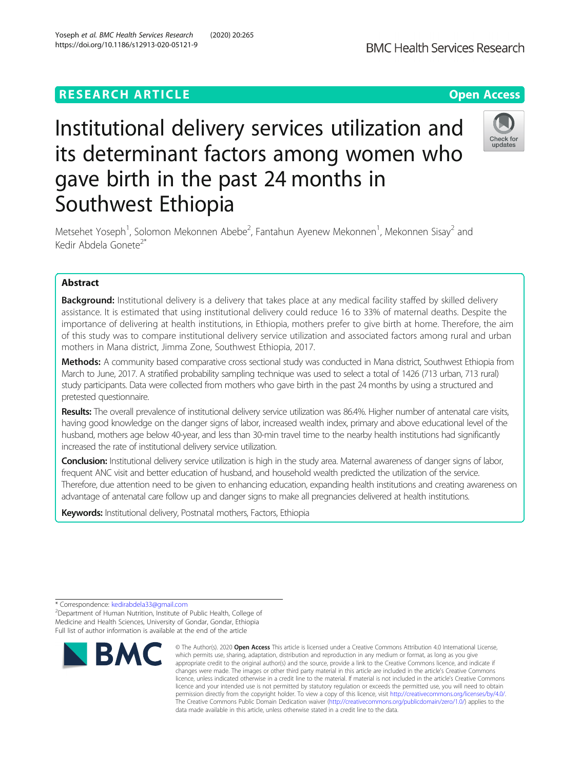# **RESEARCH ARTICLE Example 2018 12:30 THE OPEN Access**

# Institutional delivery services utilization and its determinant factors among women who gave birth in the past 24 months in Southwest Ethiopia

Metsehet Yoseph<sup>1</sup>, Solomon Mekonnen Abebe<sup>2</sup>, Fantahun Ayenew Mekonnen<sup>1</sup>, Mekonnen Sisay<sup>2</sup> and Kedir Abdela Gonete<sup>2\*</sup>

# Abstract

Background: Institutional delivery is a delivery that takes place at any medical facility staffed by skilled delivery assistance. It is estimated that using institutional delivery could reduce 16 to 33% of maternal deaths. Despite the importance of delivering at health institutions, in Ethiopia, mothers prefer to give birth at home. Therefore, the aim of this study was to compare institutional delivery service utilization and associated factors among rural and urban mothers in Mana district, Jimma Zone, Southwest Ethiopia, 2017.

Methods: A community based comparative cross sectional study was conducted in Mana district, Southwest Ethiopia from March to June, 2017. A stratified probability sampling technique was used to select a total of 1426 (713 urban, 713 rural) study participants. Data were collected from mothers who gave birth in the past 24 months by using a structured and pretested questionnaire.

Results: The overall prevalence of institutional delivery service utilization was 86.4%. Higher number of antenatal care visits, having good knowledge on the danger signs of labor, increased wealth index, primary and above educational level of the husband, mothers age below 40-year, and less than 30-min travel time to the nearby health institutions had significantly increased the rate of institutional delivery service utilization.

Conclusion: Institutional delivery service utilization is high in the study area. Maternal awareness of danger signs of labor, frequent ANC visit and better education of husband, and household wealth predicted the utilization of the service. Therefore, due attention need to be given to enhancing education, expanding health institutions and creating awareness on advantage of antenatal care follow up and danger signs to make all pregnancies delivered at health institutions.

data made available in this article, unless otherwise stated in a credit line to the data.

licence and your intended use is not permitted by statutory regulation or exceeds the permitted use, you will need to obtain permission directly from the copyright holder. To view a copy of this licence, visit [http://creativecommons.org/licenses/by/4.0/.](http://creativecommons.org/licenses/by/4.0/) The Creative Commons Public Domain Dedication waiver [\(http://creativecommons.org/publicdomain/zero/1.0/](http://creativecommons.org/publicdomain/zero/1.0/)) applies to the

Keywords: Institutional delivery, Postnatal mothers, Factors, Ethiopia

<sup>2</sup>Department of Human Nutrition, Institute of Public Health, College of Medicine and Health Sciences, University of Gondar, Gondar, Ethiopia Full list of author information is available at the end of the article





<sup>\*</sup> Correspondence: [kedirabdela33@gmail.com](mailto:kedirabdela33@gmail.com) <sup>2</sup>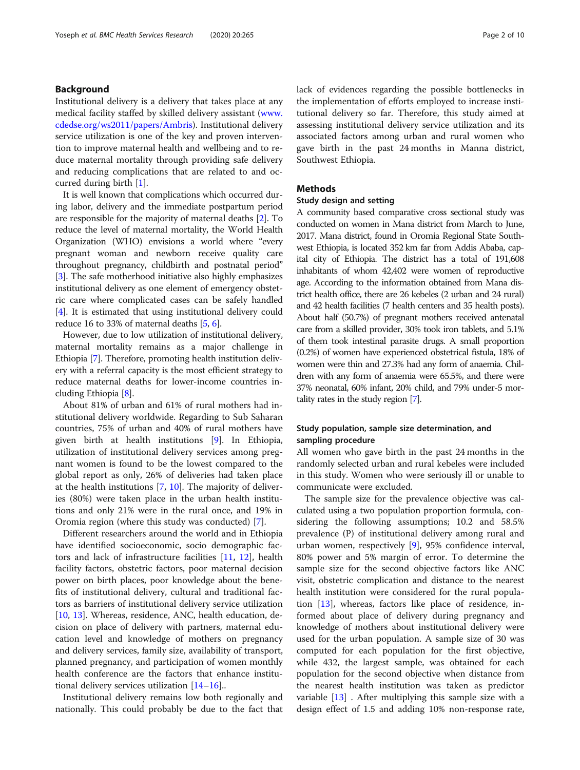# Background

Institutional delivery is a delivery that takes place at any medical facility staffed by skilled delivery assistant ([www.](http://www.cdedse.org/ws2011/papers/Ambris) [cdedse.org/ws2011/papers/Ambris\)](http://www.cdedse.org/ws2011/papers/Ambris). Institutional delivery service utilization is one of the key and proven intervention to improve maternal health and wellbeing and to reduce maternal mortality through providing safe delivery and reducing complications that are related to and occurred during birth [\[1](#page-8-0)].

It is well known that complications which occurred during labor, delivery and the immediate postpartum period are responsible for the majority of maternal deaths [\[2\]](#page-8-0). To reduce the level of maternal mortality, the World Health Organization (WHO) envisions a world where "every pregnant woman and newborn receive quality care throughout pregnancy, childbirth and postnatal period" [[3\]](#page-8-0). The safe motherhood initiative also highly emphasizes institutional delivery as one element of emergency obstetric care where complicated cases can be safely handled [[4\]](#page-8-0). It is estimated that using institutional delivery could reduce 16 to 33% of maternal deaths [\[5](#page-8-0), [6\]](#page-8-0).

However, due to low utilization of institutional delivery, maternal mortality remains as a major challenge in Ethiopia [\[7](#page-8-0)]. Therefore, promoting health institution delivery with a referral capacity is the most efficient strategy to reduce maternal deaths for lower-income countries including Ethiopia [[8\]](#page-8-0).

About 81% of urban and 61% of rural mothers had institutional delivery worldwide. Regarding to Sub Saharan countries, 75% of urban and 40% of rural mothers have given birth at health institutions [[9\]](#page-8-0). In Ethiopia, utilization of institutional delivery services among pregnant women is found to be the lowest compared to the global report as only, 26% of deliveries had taken place at the health institutions [[7,](#page-8-0) [10\]](#page-8-0). The majority of deliveries (80%) were taken place in the urban health institutions and only 21% were in the rural once, and 19% in Oromia region (where this study was conducted) [\[7](#page-8-0)].

Different researchers around the world and in Ethiopia have identified socioeconomic, socio demographic factors and lack of infrastructure facilities [[11,](#page-8-0) [12\]](#page-8-0), health facility factors, obstetric factors, poor maternal decision power on birth places, poor knowledge about the benefits of institutional delivery, cultural and traditional factors as barriers of institutional delivery service utilization [[10,](#page-8-0) [13\]](#page-8-0). Whereas, residence, ANC, health education, decision on place of delivery with partners, maternal education level and knowledge of mothers on pregnancy and delivery services, family size, availability of transport, planned pregnancy, and participation of women monthly health conference are the factors that enhance institutional delivery services utilization [\[14](#page-8-0)–[16\]](#page-8-0)..

Institutional delivery remains low both regionally and nationally. This could probably be due to the fact that lack of evidences regarding the possible bottlenecks in the implementation of efforts employed to increase institutional delivery so far. Therefore, this study aimed at assessing institutional delivery service utilization and its associated factors among urban and rural women who gave birth in the past 24 months in Manna district, Southwest Ethiopia.

#### Methods

# Study design and setting

A community based comparative cross sectional study was conducted on women in Mana district from March to June, 2017. Mana district, found in Oromia Regional State Southwest Ethiopia, is located 352 km far from Addis Ababa, capital city of Ethiopia. The district has a total of 191,608 inhabitants of whom 42,402 were women of reproductive age. According to the information obtained from Mana district health office, there are 26 kebeles (2 urban and 24 rural) and 42 health facilities (7 health centers and 35 health posts). About half (50.7%) of pregnant mothers received antenatal care from a skilled provider, 30% took iron tablets, and 5.1% of them took intestinal parasite drugs. A small proportion (0.2%) of women have experienced obstetrical fistula, 18% of women were thin and 27.3% had any form of anaemia. Children with any form of anaemia were 65.5%, and there were 37% neonatal, 60% infant, 20% child, and 79% under-5 mortality rates in the study region [[7](#page-8-0)].

# Study population, sample size determination, and sampling procedure

All women who gave birth in the past 24 months in the randomly selected urban and rural kebeles were included in this study. Women who were seriously ill or unable to communicate were excluded.

The sample size for the prevalence objective was calculated using a two population proportion formula, considering the following assumptions; 10.2 and 58.5% prevalence (P) of institutional delivery among rural and urban women, respectively [\[9\]](#page-8-0), 95% confidence interval, 80% power and 5% margin of error. To determine the sample size for the second objective factors like ANC visit, obstetric complication and distance to the nearest health institution were considered for the rural population [\[13](#page-8-0)], whereas, factors like place of residence, informed about place of delivery during pregnancy and knowledge of mothers about institutional delivery were used for the urban population. A sample size of 30 was computed for each population for the first objective, while 432, the largest sample, was obtained for each population for the second objective when distance from the nearest health institution was taken as predictor variable [\[13](#page-8-0)] . After multiplying this sample size with a design effect of 1.5 and adding 10% non-response rate,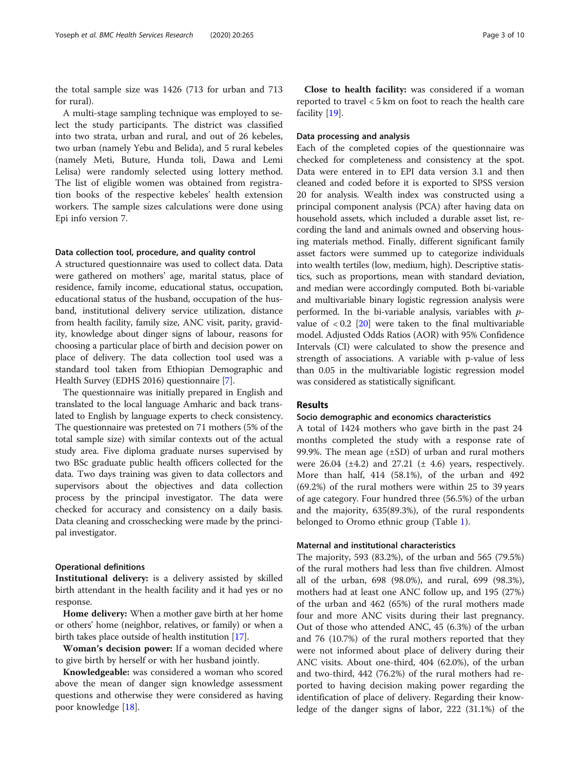the total sample size was 1426 (713 for urban and 713 for rural).

A multi-stage sampling technique was employed to select the study participants. The district was classified into two strata, urban and rural, and out of 26 kebeles, two urban (namely Yebu and Belida), and 5 rural kebeles (namely Meti, Buture, Hunda toli, Dawa and Lemi Lelisa) were randomly selected using lottery method. The list of eligible women was obtained from registration books of the respective kebeles' health extension workers. The sample sizes calculations were done using Epi info version 7.

#### Data collection tool, procedure, and quality control

A structured questionnaire was used to collect data. Data were gathered on mothers' age, marital status, place of residence, family income, educational status, occupation, educational status of the husband, occupation of the husband, institutional delivery service utilization, distance from health facility, family size, ANC visit, parity, gravidity, knowledge about dinger signs of labour, reasons for choosing a particular place of birth and decision power on place of delivery. The data collection tool used was a standard tool taken from Ethiopian Demographic and Health Survey (EDHS 2016) questionnaire [\[7](#page-8-0)].

The questionnaire was initially prepared in English and translated to the local language Amharic and back translated to English by language experts to check consistency. The questionnaire was pretested on 71 mothers (5% of the total sample size) with similar contexts out of the actual study area. Five diploma graduate nurses supervised by two BSc graduate public health officers collected for the data. Two days training was given to data collectors and supervisors about the objectives and data collection process by the principal investigator. The data were checked for accuracy and consistency on a daily basis. Data cleaning and crosschecking were made by the principal investigator.

#### Operational definitions

Institutional delivery: is a delivery assisted by skilled birth attendant in the health facility and it had yes or no response.

Home delivery: When a mother gave birth at her home or others' home (neighbor, relatives, or family) or when a birth takes place outside of health institution [\[17\]](#page-8-0).

Woman's decision power: If a woman decided where to give birth by herself or with her husband jointly.

Knowledgeable: was considered a woman who scored above the mean of danger sign knowledge assessment questions and otherwise they were considered as having poor knowledge [\[18](#page-8-0)].

Close to health facility: was considered if a woman reported to travel < 5 km on foot to reach the health care facility [[19\]](#page-8-0).

# Data processing and analysis

Each of the completed copies of the questionnaire was checked for completeness and consistency at the spot. Data were entered in to EPI data version 3.1 and then cleaned and coded before it is exported to SPSS version 20 for analysis. Wealth index was constructed using a principal component analysis (PCA) after having data on household assets, which included a durable asset list, recording the land and animals owned and observing housing materials method. Finally, different significant family asset factors were summed up to categorize individuals into wealth tertiles (low, medium, high). Descriptive statistics, such as proportions, mean with standard deviation, and median were accordingly computed. Both bi-variable and multivariable binary logistic regression analysis were performed. In the bi-variable analysis, variables with  $p$ value of  $< 0.2$  [\[20\]](#page-8-0) were taken to the final multivariable model. Adjusted Odds Ratios (AOR) with 95% Confidence Intervals (CI) were calculated to show the presence and strength of associations. A variable with p-value of less than 0.05 in the multivariable logistic regression model was considered as statistically significant.

# Results

#### Socio demographic and economics characteristics

A total of 1424 mothers who gave birth in the past 24 months completed the study with a response rate of 99.9%. The mean age  $(\pm SD)$  of urban and rural mothers were  $26.04$  ( $\pm 4.2$ ) and  $27.21$  ( $\pm 4.6$ ) years, respectively. More than half, 414 (58.1%), of the urban and 492 (69.2%) of the rural mothers were within 25 to 39 years of age category. Four hundred three (56.5%) of the urban and the majority, 635(89.3%), of the rural respondents belonged to Oromo ethnic group (Table [1\)](#page-3-0).

#### Maternal and institutional characteristics

The majority, 593 (83.2%), of the urban and 565 (79.5%) of the rural mothers had less than five children. Almost all of the urban, 698 (98.0%), and rural, 699 (98.3%), mothers had at least one ANC follow up, and 195 (27%) of the urban and 462 (65%) of the rural mothers made four and more ANC visits during their last pregnancy. Out of those who attended ANC, 45 (6.3%) of the urban and 76 (10.7%) of the rural mothers reported that they were not informed about place of delivery during their ANC visits. About one-third, 404 (62.0%), of the urban and two-third, 442 (76.2%) of the rural mothers had reported to having decision making power regarding the identification of place of delivery. Regarding their knowledge of the danger signs of labor, 222 (31.1%) of the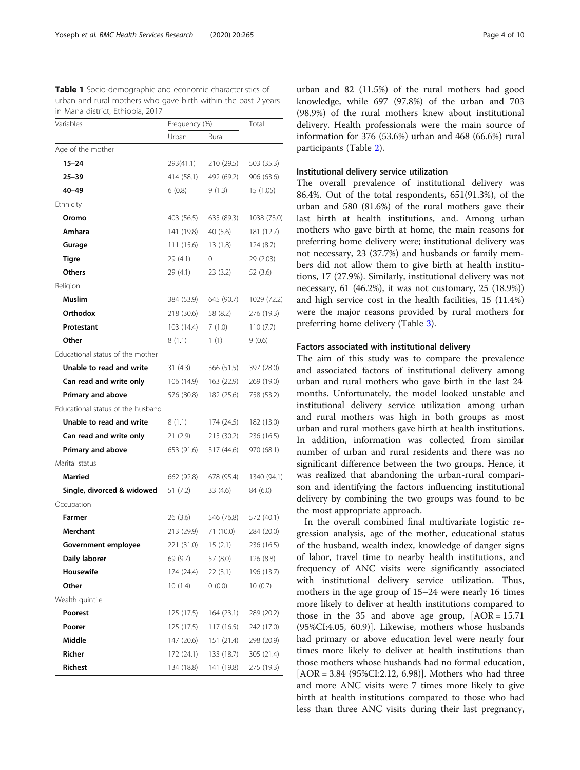<span id="page-3-0"></span>Table 1 Socio-demographic and economic characteristics of urban and rural mothers who gave birth within the past 2 years in Mana district, Ethiopia, 2017

| Variables                         | Frequency (%) |            | Total       |
|-----------------------------------|---------------|------------|-------------|
|                                   | Urban         | Rural      |             |
| Age of the mother                 |               |            |             |
| $15 - 24$                         | 293(41.1)     | 210 (29.5) | 503 (35.3)  |
| $25 - 39$                         | 414 (58.1)    | 492 (69.2) | 906 (63.6)  |
| $40 - 49$                         | 6(0.8)        | 9(1.3)     | 15 (1.05)   |
| Ethnicity                         |               |            |             |
| Oromo                             | 403 (56.5)    | 635 (89.3) | 1038 (73.0) |
| Amhara                            | 141 (19.8)    | 40 (5.6)   | 181 (12.7)  |
| Gurage                            | 111 (15.6)    | 13(1.8)    | 124(8.7)    |
| <b>Tigre</b>                      | 29 (4.1)      | 0          | 29 (2.03)   |
| <b>Others</b>                     | 29 (4.1)      | 23(3.2)    | 52 (3.6)    |
| Religion                          |               |            |             |
| Muslim                            | 384 (53.9)    | 645 (90.7) | 1029 (72.2) |
| Orthodox                          | 218 (30.6)    | 58 (8.2)   | 276 (19.3)  |
| Protestant                        | 103 (14.4)    | 7(1.0)     | 110(7.7)    |
| Other                             | 8(1.1)        | 1(1)       | 9(0.6)      |
| Educational status of the mother  |               |            |             |
| Unable to read and write          | 31(4.3)       | 366 (51.5) | 397 (28.0)  |
| Can read and write only           | 106 (14.9)    | 163 (22.9) | 269 (19.0)  |
| Primary and above                 | 576 (80.8)    | 182 (25.6) | 758 (53.2)  |
| Educational status of the husband |               |            |             |
| Unable to read and write          | 8(1.1)        | 174 (24.5) | 182 (13.0)  |
| Can read and write only           | 21(2.9)       | 215 (30.2) | 236 (16.5)  |
| <b>Primary and above</b>          | 653 (91.6)    | 317 (44.6) | 970 (68.1)  |
| Marital status                    |               |            |             |
| Married                           | 662 (92.8)    | 678 (95.4) | 1340 (94.1) |
| Single, divorced & widowed        | 51 (7.2)      | 33 (4.6)   | 84 (6.0)    |
| Occupation                        |               |            |             |
| Farmer                            | 26(3.6)       | 546 (76.8) | 572 (40.1)  |
| Merchant                          | 213 (29.9)    | 71 (10.0)  | 284 (20.0)  |
| Government employee               | 221 (31.0)    | 15(2.1)    | 236 (16.5)  |
| Daily laborer                     | 69 (9.7)      | 57 (8.0)   | 126 (8.8)   |
| <b>Housewife</b>                  | 174 (24.4)    | 22(3.1)    | 196 (13.7)  |
| Other                             | 10(1.4)       | (0.0)      | 10(0.7)     |
| Wealth quintile                   |               |            |             |
| Poorest                           | 125 (17.5)    | 164 (23.1) | 289 (20.2)  |
| Poorer                            | 125 (17.5)    | 117 (16.5) | 242 (17.0)  |
| Middle                            | 147 (20.6)    | 151 (21.4) | 298 (20.9)  |
| Richer                            | 172 (24.1)    | 133 (18.7) | 305 (21.4)  |
| <b>Richest</b>                    | 134 (18.8)    | 141 (19.8) | 275 (19.3)  |

urban and 82 (11.5%) of the rural mothers had good knowledge, while 697 (97.8%) of the urban and 703 (98.9%) of the rural mothers knew about institutional delivery. Health professionals were the main source of information for 376 (53.6%) urban and 468 (66.6%) rural participants (Table [2\)](#page-4-0).

#### Institutional delivery service utilization

The overall prevalence of institutional delivery was 86.4%. Out of the total respondents, 651(91.3%), of the urban and 580 (81.6%) of the rural mothers gave their last birth at health institutions, and. Among urban mothers who gave birth at home, the main reasons for preferring home delivery were; institutional delivery was not necessary, 23 (37.7%) and husbands or family members did not allow them to give birth at health institutions, 17 (27.9%). Similarly, institutional delivery was not necessary, 61 (46.2%), it was not customary, 25 (18.9%)) and high service cost in the health facilities, 15 (11.4%) were the major reasons provided by rural mothers for preferring home delivery (Table [3\)](#page-5-0).

#### Factors associated with institutional delivery

The aim of this study was to compare the prevalence and associated factors of institutional delivery among urban and rural mothers who gave birth in the last 24 months. Unfortunately, the model looked unstable and institutional delivery service utilization among urban and rural mothers was high in both groups as most urban and rural mothers gave birth at health institutions. In addition, information was collected from similar number of urban and rural residents and there was no significant difference between the two groups. Hence, it was realized that abandoning the urban-rural comparison and identifying the factors influencing institutional delivery by combining the two groups was found to be the most appropriate approach.

In the overall combined final multivariate logistic regression analysis, age of the mother, educational status of the husband, wealth index, knowledge of danger signs of labor, travel time to nearby health institutions, and frequency of ANC visits were significantly associated with institutional delivery service utilization. Thus, mothers in the age group of 15–24 were nearly 16 times more likely to deliver at health institutions compared to those in the 35 and above age group,  $[AOR = 15.71]$ (95%CI:4.05, 60.9)]. Likewise, mothers whose husbands had primary or above education level were nearly four times more likely to deliver at health institutions than those mothers whose husbands had no formal education,  $[AOR = 3.84 (95\% CI:2.12, 6.98)].$  Mothers who had three and more ANC visits were 7 times more likely to give birth at health institutions compared to those who had less than three ANC visits during their last pregnancy,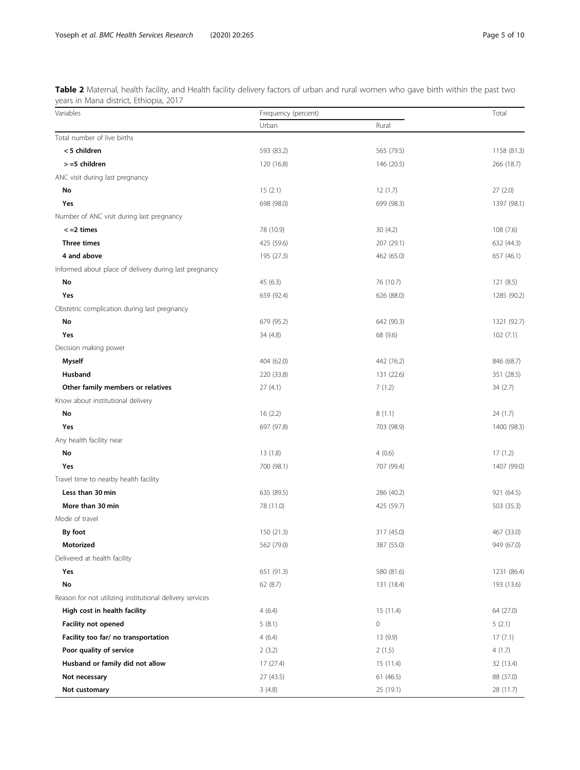<span id="page-4-0"></span>Table 2 Maternal, health facility, and Health facility delivery factors of urban and rural women who gave birth within the past two years in Mana district, Ethiopia, 2017

| Variables                                                | Frequency (percent) |            |             |
|----------------------------------------------------------|---------------------|------------|-------------|
|                                                          | Urban               | Rural      |             |
| Total number of live births                              |                     |            |             |
| < 5 children                                             | 593 (83.2)          | 565 (79.5) | 1158 (81.3) |
| >=5 children                                             | 120 (16.8)          | 146 (20.5) | 266 (18.7)  |
| ANC visit during last pregnancy                          |                     |            |             |
| No                                                       | 15(2.1)             | 12(1.7)    | 27(2.0)     |
| Yes                                                      | 698 (98.0)          | 699 (98.3) | 1397 (98.1) |
| Number of ANC visit during last pregnancy                |                     |            |             |
| $\le$ =2 times                                           | 78 (10.9)           | 30(4.2)    | 108(7.6)    |
| Three times                                              | 425 (59.6)          | 207 (29.1) | 632 (44.3)  |
| 4 and above                                              | 195 (27.3)          | 462 (65.0) | 657 (46.1)  |
| Informed about place of delivery during last pregnancy   |                     |            |             |
| No                                                       | 45 (6.3)            | 76 (10.7)  | 121(8.5)    |
| Yes                                                      | 659 (92.4)          | 626 (88.0) | 1285 (90.2) |
| Obstetric complication during last pregnancy             |                     |            |             |
| No                                                       | 679 (95.2)          | 642 (90.3) | 1321 (92.7) |
| Yes                                                      | 34 (4.8)            | 68 (9.6)   | 102(7.1)    |
| Decision making power                                    |                     |            |             |
| <b>Myself</b>                                            | 404 (62.0)          | 442 (76.2) | 846 (68.7)  |
| Husband                                                  | 220 (33.8)          | 131 (22.6) | 351 (28.5)  |
| Other family members or relatives                        | 27(4.1)             | 7(1.2)     | 34 (2.7)    |
| Know about institutional delivery                        |                     |            |             |
| No                                                       | 16(2.2)             | 8(1.1)     | 24 (1.7)    |
| Yes                                                      | 697 (97.8)          | 703 (98.9) | 1400 (98.3) |
| Any health facility near                                 |                     |            |             |
| No                                                       | 13(1.8)             | 4(0.6)     | 17(1.2)     |
| Yes                                                      | 700 (98.1)          | 707 (99.4) | 1407 (99.0) |
| Travel time to nearby health facility                    |                     |            |             |
| Less than 30 min                                         | 635 (89.5)          | 286 (40.2) | 921 (64.5)  |
| More than 30 min                                         | 78 (11.0)           | 425 (59.7) | 503 (35.3)  |
| Mode of travel                                           |                     |            |             |
| By foot                                                  | 150 (21.3)          | 317 (45.0) | 467 (33.0)  |
| Motorized                                                | 562 (79.0)          | 387 (55.0) | 949 (67.0)  |
| Delivered at health facility                             |                     |            |             |
| Yes                                                      | 651 (91.3)          | 580 (81.6) | 1231 (86.4) |
| No                                                       | 62(8.7)             | 131 (18.4) | 193 (13.6)  |
| Reason for not utilizing institutional delivery services |                     |            |             |
| High cost in health facility                             | 4(6.4)              | 15(11.4)   | 64 (27.0)   |
| <b>Facility not opened</b>                               | 5(8.1)              | 0          | 5(2.1)      |
| Facility too far/ no transportation                      | 4(6.4)              | 13 (9.9)   | 17(7.1)     |
| Poor quality of service                                  | 2(3.2)              | 2(1.5)     | 4(1.7)      |
| Husband or family did not allow                          | 17(27.4)            | 15(11.4)   | 32 (13.4)   |
| Not necessary                                            | 27 (43.5)           | 61 (46.5)  | 88 (37.0)   |
| Not customary                                            | 3(4.8)              | 25 (19.1)  | 28 (11.7)   |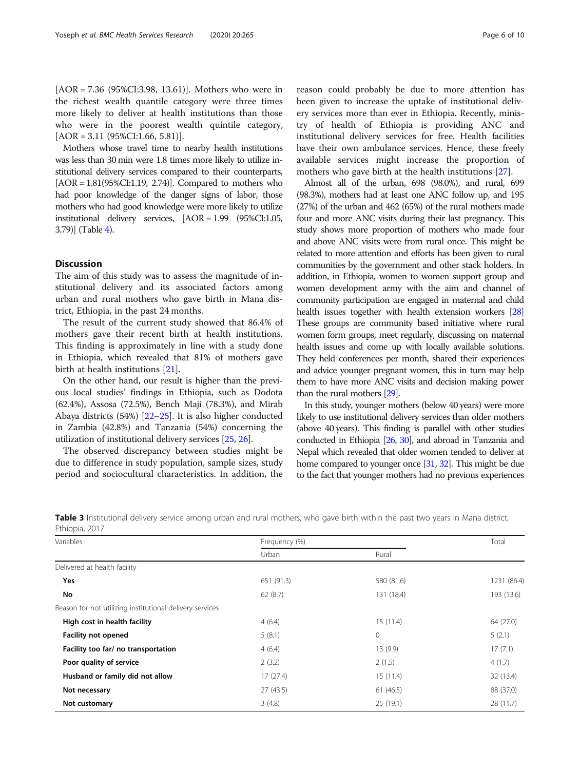<span id="page-5-0"></span>[AOR = 7.36 (95%CI:3.98, 13.61)]. Mothers who were in the richest wealth quantile category were three times more likely to deliver at health institutions than those who were in the poorest wealth quintile category,  $[AOR = 3.11 (95\% CI:1.66, 5.81)].$ 

Mothers whose travel time to nearby health institutions was less than 30 min were 1.8 times more likely to utilize institutional delivery services compared to their counterparts,  $[AOR = 1.81(95\% CI:1.19, 2.74)]$ . Compared to mothers who had poor knowledge of the danger signs of labor, those mothers who had good knowledge were more likely to utilize institutional delivery services, [AOR = 1.99 (95%CI:1.05, 3.79)] (Table [4](#page-6-0)).

# **Discussion**

The aim of this study was to assess the magnitude of institutional delivery and its associated factors among urban and rural mothers who gave birth in Mana district, Ethiopia, in the past 24 months.

The result of the current study showed that 86.4% of mothers gave their recent birth at health institutions. This finding is approximately in line with a study done in Ethiopia, which revealed that 81% of mothers gave birth at health institutions [\[21\]](#page-8-0).

On the other hand, our result is higher than the previous local studies' findings in Ethiopia, such as Dodota (62.4%), Assosa (72.5%), Bench Maji (78.3%), and Mirab Abaya districts (54%) [[22](#page-8-0)–[25\]](#page-8-0). It is also higher conducted in Zambia (42.8%) and Tanzania (54%) concerning the utilization of institutional delivery services [[25](#page-8-0), [26\]](#page-8-0).

The observed discrepancy between studies might be due to difference in study population, sample sizes, study period and sociocultural characteristics. In addition, the reason could probably be due to more attention has been given to increase the uptake of institutional delivery services more than ever in Ethiopia. Recently, ministry of health of Ethiopia is providing ANC and institutional delivery services for free. Health facilities

available services might increase the proportion of mothers who gave birth at the health institutions [[27\]](#page-8-0). Almost all of the urban, 698 (98.0%), and rural, 699 (98.3%), mothers had at least one ANC follow up, and 195 (27%) of the urban and 462 (65%) of the rural mothers made four and more ANC visits during their last pregnancy. This study shows more proportion of mothers who made four and above ANC visits were from rural once. This might be related to more attention and efforts has been given to rural communities by the government and other stack holders. In addition, in Ethiopia, women to women support group and women development army with the aim and channel of community participation are engaged in maternal and child health issues together with health extension workers [\[28](#page-8-0)] These groups are community based initiative where rural women form groups, meet regularly, discussing on maternal health issues and come up with locally available solutions. They held conferences per month, shared their experiences and advice younger pregnant women, this in turn may help them to have more ANC visits and decision making power than the rural mothers [\[29](#page-8-0)].

have their own ambulance services. Hence, these freely

In this study, younger mothers (below 40 years) were more likely to use institutional delivery services than older mothers (above 40 years). This finding is parallel with other studies conducted in Ethiopia [\[26,](#page-8-0) [30](#page-8-0)], and abroad in Tanzania and Nepal which revealed that older women tended to deliver at home compared to younger once [[31,](#page-8-0) [32\]](#page-8-0). This might be due to the fact that younger mothers had no previous experiences

| Variables                                                | Frequency (%) |              | Total       |
|----------------------------------------------------------|---------------|--------------|-------------|
|                                                          | Urban         | Rural        |             |
| Delivered at health facility                             |               |              |             |
| Yes                                                      | 651 (91.3)    | 580 (81.6)   | 1231 (86.4) |
| No                                                       | 62(8.7)       | 131 (18.4)   | 193 (13.6)  |
| Reason for not utilizing institutional delivery services |               |              |             |
| High cost in health facility                             | 4(6.4)        | 15(11.4)     | 64 (27.0)   |
| <b>Facility not opened</b>                               | 5(8.1)        | $\mathbf{0}$ | 5(2.1)      |
| Facility too far/ no transportation                      | 4(6.4)        | 13 (9.9)     | 17(7.1)     |
| Poor quality of service                                  | 2(3.2)        | 2(1.5)       | 4(1.7)      |
| Husband or family did not allow                          | 17(27.4)      | 15(11.4)     | 32 (13.4)   |
| Not necessary                                            | 27(43.5)      | 61(46.5)     | 88 (37.0)   |
| Not customary                                            | 3(4.8)        | 25 (19.1)    | 28(11.7)    |

Table 3 Institutional delivery service among urban and rural mothers, who gave birth within the past two years in Mana district, Ethiopia, 2017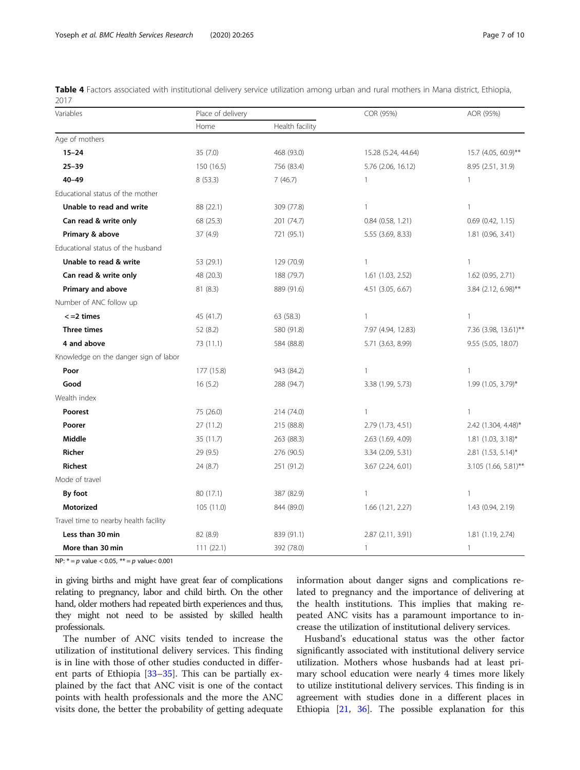<span id="page-6-0"></span>Table 4 Factors associated with institutional delivery service utilization among urban and rural mothers in Mana district, Ethiopia, 2017

| Variables                             | Place of delivery |                 |                     | AOR (95%)            |
|---------------------------------------|-------------------|-----------------|---------------------|----------------------|
|                                       | Home              | Health facility |                     |                      |
| Age of mothers                        |                   |                 |                     |                      |
| $15 - 24$                             | 35 (7.0)          | 468 (93.0)      | 15.28 (5.24, 44.64) | 15.7 (4.05, 60.9)**  |
| $25 - 39$                             | 150 (16.5)        | 756 (83.4)      | 5.76 (2.06, 16.12)  | 8.95 (2.51, 31.9)    |
| $40 - 49$                             | 8(53.3)           | 7(46.7)         | 1                   | 1                    |
| Educational status of the mother      |                   |                 |                     |                      |
| Unable to read and write              | 88 (22.1)         | 309 (77.8)      | 1                   | $\mathbf{1}$         |
| Can read & write only                 | 68 (25.3)         | 201 (74.7)      | 0.84 (0.58, 1.21)   | 0.69 (0.42, 1.15)    |
| Primary & above                       | 37(4.9)           | 721 (95.1)      | 5.55 (3.69, 8.33)   | 1.81 (0.96, 3.41)    |
| Educational status of the husband     |                   |                 |                     |                      |
| Unable to read & write                | 53 (29.1)         | 129 (70.9)      | 1                   | 1                    |
| Can read & write only                 | 48 (20.3)         | 188 (79.7)      | 1.61 (1.03, 2.52)   | 1.62 (0.95, 2.71)    |
| <b>Primary and above</b>              | 81(8.3)           | 889 (91.6)      | 4.51 (3.05, 6.67)   | 3.84 (2.12, 6.98)**  |
| Number of ANC follow up               |                   |                 |                     |                      |
| $\leq$ =2 times                       | 45 (41.7)         | 63 (58.3)       | 1                   | $\mathbf{1}$         |
| Three times                           | 52 (8.2)          | 580 (91.8)      | 7.97 (4.94, 12.83)  | 7.36 (3.98, 13.61)** |
| 4 and above                           | 73 (11.1)         | 584 (88.8)      | 5.71 (3.63, 8.99)   | 9.55 (5.05, 18.07)   |
| Knowledge on the danger sign of labor |                   |                 |                     |                      |
| Poor                                  | 177 (15.8)        | 943 (84.2)      | 1                   | $\mathbf{1}$         |
| Good                                  | 16(5.2)           | 288 (94.7)      | 3.38 (1.99, 5.73)   | 1.99 (1.05, 3.79)*   |
| Wealth index                          |                   |                 |                     |                      |
| Poorest                               | 75 (26.0)         | 214 (74.0)      | $\mathbf{1}$        | 1                    |
| Poorer                                | 27(11.2)          | 215 (88.8)      | 2.79 (1.73, 4.51)   | 2.42 (1.304, 4.48)*  |
| Middle                                | 35 (11.7)         | 263 (88.3)      | 2.63 (1.69, 4.09)   | $1.81$ (1.03, 3.18)* |
| <b>Richer</b>                         | 29 (9.5)          | 276 (90.5)      | 3.34 (2.09, 5.31)   | 2.81 (1.53, 5.14)*   |
| Richest                               | 24 (8.7)          | 251 (91.2)      | 3.67 (2.24, 6.01)   | 3.105 (1.66, 5.81)** |
| Mode of travel                        |                   |                 |                     |                      |
| By foot                               | 80 (17.1)         | 387 (82.9)      | 1                   | 1                    |
| Motorized                             | 105 (11.0)        | 844 (89.0)      | 1.66 (1.21, 2.27)   | 1.43 (0.94, 2.19)    |
| Travel time to nearby health facility |                   |                 |                     |                      |
| Less than 30 min                      | 82 (8.9)          | 839 (91.1)      | 2.87 (2.11, 3.91)   | 1.81 (1.19, 2.74)    |
| More than 30 min                      | 111(22.1)         | 392 (78.0)      | 1                   | 1                    |

NP:  $* = p$  value < 0.05,  $** = p$  value < 0.001

in giving births and might have great fear of complications relating to pregnancy, labor and child birth. On the other hand, older mothers had repeated birth experiences and thus, they might not need to be assisted by skilled health professionals.

The number of ANC visits tended to increase the utilization of institutional delivery services. This finding is in line with those of other studies conducted in different parts of Ethiopia [\[33](#page-8-0)–[35\]](#page-8-0). This can be partially explained by the fact that ANC visit is one of the contact points with health professionals and the more the ANC visits done, the better the probability of getting adequate information about danger signs and complications related to pregnancy and the importance of delivering at the health institutions. This implies that making repeated ANC visits has a paramount importance to increase the utilization of institutional delivery services.

Husband's educational status was the other factor significantly associated with institutional delivery service utilization. Mothers whose husbands had at least primary school education were nearly 4 times more likely to utilize institutional delivery services. This finding is in agreement with studies done in a different places in Ethiopia [\[21](#page-8-0), [36\]](#page-8-0). The possible explanation for this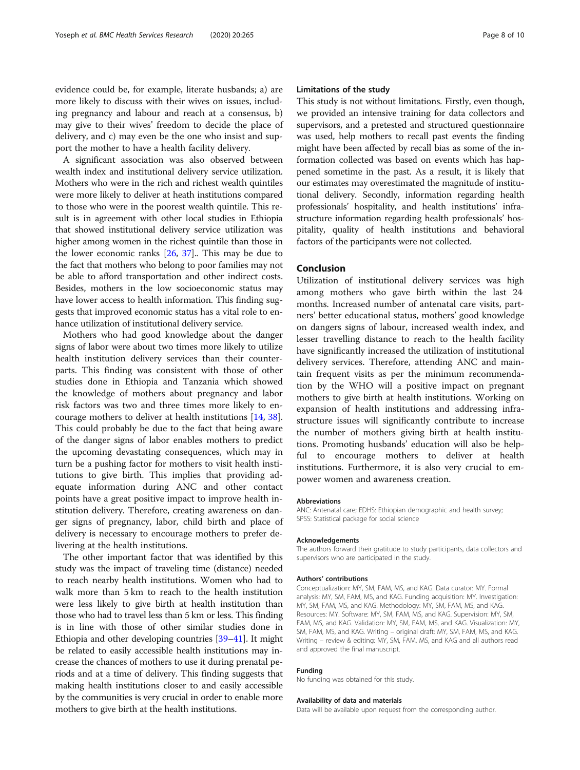evidence could be, for example, literate husbands; a) are more likely to discuss with their wives on issues, including pregnancy and labour and reach at a consensus, b) may give to their wives' freedom to decide the place of delivery, and c) may even be the one who insist and support the mother to have a health facility delivery.

A significant association was also observed between wealth index and institutional delivery service utilization. Mothers who were in the rich and richest wealth quintiles were more likely to deliver at heath institutions compared to those who were in the poorest wealth quintile. This result is in agreement with other local studies in Ethiopia that showed institutional delivery service utilization was higher among women in the richest quintile than those in the lower economic ranks [\[26,](#page-8-0) [37\]](#page-8-0).. This may be due to the fact that mothers who belong to poor families may not be able to afford transportation and other indirect costs. Besides, mothers in the low socioeconomic status may have lower access to health information. This finding suggests that improved economic status has a vital role to enhance utilization of institutional delivery service.

Mothers who had good knowledge about the danger signs of labor were about two times more likely to utilize health institution delivery services than their counterparts. This finding was consistent with those of other studies done in Ethiopia and Tanzania which showed the knowledge of mothers about pregnancy and labor risk factors was two and three times more likely to encourage mothers to deliver at health institutions [[14](#page-8-0), [38](#page-8-0)]. This could probably be due to the fact that being aware of the danger signs of labor enables mothers to predict the upcoming devastating consequences, which may in turn be a pushing factor for mothers to visit health institutions to give birth. This implies that providing adequate information during ANC and other contact points have a great positive impact to improve health institution delivery. Therefore, creating awareness on danger signs of pregnancy, labor, child birth and place of delivery is necessary to encourage mothers to prefer delivering at the health institutions.

The other important factor that was identified by this study was the impact of traveling time (distance) needed to reach nearby health institutions. Women who had to walk more than 5 km to reach to the health institution were less likely to give birth at health institution than those who had to travel less than 5 km or less. This finding is in line with those of other similar studies done in Ethiopia and other developing countries [\[39](#page-8-0)–[41](#page-9-0)]. It might be related to easily accessible health institutions may increase the chances of mothers to use it during prenatal periods and at a time of delivery. This finding suggests that making health institutions closer to and easily accessible by the communities is very crucial in order to enable more mothers to give birth at the health institutions.

#### Limitations of the study

This study is not without limitations. Firstly, even though, we provided an intensive training for data collectors and supervisors, and a pretested and structured questionnaire was used, help mothers to recall past events the finding might have been affected by recall bias as some of the information collected was based on events which has happened sometime in the past. As a result, it is likely that our estimates may overestimated the magnitude of institutional delivery. Secondly, information regarding health professionals' hospitality, and health institutions' infrastructure information regarding health professionals' hospitality, quality of health institutions and behavioral factors of the participants were not collected.

#### Conclusion

Utilization of institutional delivery services was high among mothers who gave birth within the last 24 months. Increased number of antenatal care visits, partners' better educational status, mothers' good knowledge on dangers signs of labour, increased wealth index, and lesser travelling distance to reach to the health facility have significantly increased the utilization of institutional delivery services. Therefore, attending ANC and maintain frequent visits as per the minimum recommendation by the WHO will a positive impact on pregnant mothers to give birth at health institutions. Working on expansion of health institutions and addressing infrastructure issues will significantly contribute to increase the number of mothers giving birth at health institutions. Promoting husbands' education will also be helpful to encourage mothers to deliver at health institutions. Furthermore, it is also very crucial to empower women and awareness creation.

#### Abbreviations

ANC: Antenatal care; EDHS: Ethiopian demographic and health survey; SPSS: Statistical package for social science

#### Acknowledgements

The authors forward their gratitude to study participants, data collectors and supervisors who are participated in the study.

#### Authors' contributions

Conceptualization: MY, SM, FAM, MS, and KAG. Data curator: MY. Formal analysis: MY, SM, FAM, MS, and KAG. Funding acquisition: MY. Investigation: MY, SM, FAM, MS, and KAG. Methodology: MY, SM, FAM, MS, and KAG. Resources: MY. Software: MY, SM, FAM, MS, and KAG. Supervision: MY, SM, FAM, MS, and KAG. Validation: MY, SM, FAM, MS, and KAG. Visualization: MY, SM, FAM, MS, and KAG. Writing – original draft: MY, SM, FAM, MS, and KAG. Writing – review & editing: MY, SM, FAM, MS, and KAG and all authors read and approved the final manuscript.

#### Funding

No funding was obtained for this study.

#### Availability of data and materials

Data will be available upon request from the corresponding author.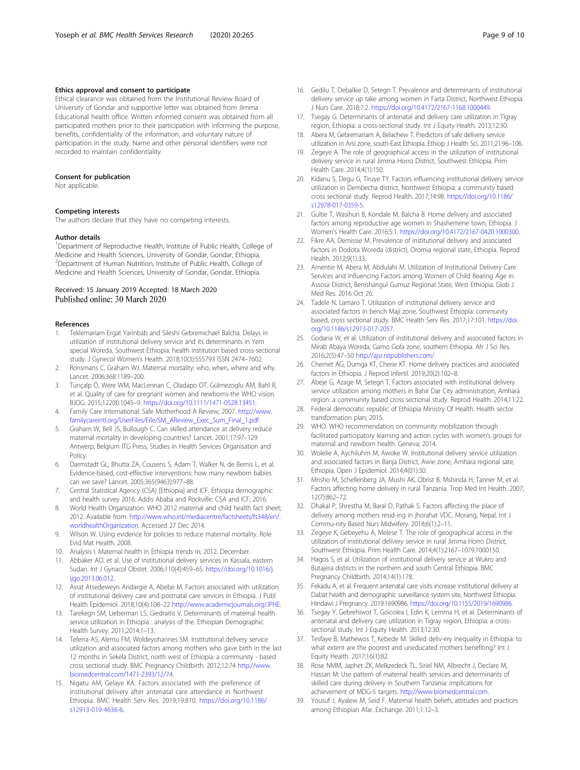#### <span id="page-8-0"></span>Ethics approval and consent to participate

Ethical clearance was obtained from the Institutional Review Board of University of Gondar and supportive letter was obtained from Jimma Educational health office. Written informed consent was obtained from all participated mothers prior to their participation with informing the purpose, benefits, confidentiality of the information, and voluntary nature of participation in the study. Name and other personal identifiers were not recorded to maintain confidentiality.

#### Consent for publication

Not applicable.

#### Competing interests

The authors declare that they have no competing interests.

#### Author details

<sup>1</sup>Department of Reproductive Health, Institute of Public Health, College of Medicine and Health Sciences, University of Gondar, Gondar, Ethiopia. 2 Department of Human Nutrition, Institute of Public Health, College of Medicine and Health Sciences, University of Gondar, Gondar, Ethiopia.

# Received: 15 January 2019 Accepted: 18 March 2020<br>Published online: 30 March 2020

#### References

- 1. Teklemariam Ergat Yarinbab and Sileshi Gebremichael Balcha. Delays in utilization of institutional delivery service and its determinants in Yem special Woreda, Southwest Ethiopia: health institution based cross-sectional study. J Gynecol Women's Health. 2018;10(3):555793 ISSN 2474–7602.
- 2. Ronsmans C, Graham WJ. Maternal mortality: who, when, where and why. Lancet. 2006;368:1189–200.
- 3. Tunçalp Ö, Were WM, MacLennan C, Oladapo OT, Gülmezoglu AM, Bahl R, et al. Quality of care for pregnant women and newborns-the WHO vision. BJOG. 2015;122(8):1045–9. <https://doi.org/10.1111/1471-0528.13451>.
- 4. Family Care International: Safe Motherhood A Review; 2007. [http://www.](http://www.familycareintl.org/UserFiles/File/SM_AReview_Exec_Sum_Final_1.pdf) [familycareintl.org/UserFiles/File/SM\\_AReview\\_Exec\\_Sum\\_Final\\_1.pdf.](http://www.familycareintl.org/UserFiles/File/SM_AReview_Exec_Sum_Final_1.pdf)
- 5. Graham W, Bell JS, Bullough C. Can skilled attendance at delivery reduce maternal mortality in developing countries? Lancet. 2001;17:97–129 Antwerp, Belgium ITG Press, Studies in Health Services Organisation and Policy.
- 6. Darmstadt GL, Bhutta ZA, Cousens S, Adam T, Walker N, de Bernis L, et al. Evidence-based, cost-effective interventions: how many newborn babies can we save? Lancet. 2005;365(9463):977–88.
- 7. Central Statistical Agency (CSA) [Ethiopia] and ICF. Ethiopia demographic and health survey 2016. Addis Ababa and Rockville: CSA and ICF; 2016.
- 8. World Health Organization. WHO 2012 maternal and child health fact sheet; 2012. Available from: [http://www.who.int/mediacentre/factsheets/fs348/en/.](http://www.who.int/mediacentre/factsheets/fs348/en/.worldhealthOrganization) [worldhealthOrganization](http://www.who.int/mediacentre/factsheets/fs348/en/.worldhealthOrganization). Accessed 27 Dec 2014.
- 9. Wilson W. Using evidence for policies to reduce maternal mortality. Role Evid Mat Health. 2008.
- 10. Analysis I. Maternal health in Ethiopia trends in; 2012. December.
- 11. Abbaker AO, et al. Use of institutional delivery services in Kassala, eastern Sudan. Int J Gynacol Obstet. 2006;110(4):459–65. [https://doi.org/10.1016/j.](https://doi.org/10.1016/j.ijgo.2013.06.012) [ijgo.2013.06.012.](https://doi.org/10.1016/j.ijgo.2013.06.012)
- 12. Asrat Atsedeweyn Andargie A, Abebe M. Factors associated with utilization of institutional delivery care and postnatal care services in Ethiopia. J Publ Health Epidemiol. 2018;10(4):108–22 [http://www.academicjournals.org/JPHE.](http://www.academicjournals.org/JPHE)
- 13. Tarekegn SM, Lieberman LS, Giedraitis V. Determinants of maternal health service utilization in Ethiopia : analysis of the. Ethiopian Demographic Health Survey. 2011;2014:1–13.
- 14. Teferra AS, Alemu FM, Woldeyohannes SM. Institutional delivery service utilization and associated factors among mothers who gave birth in the last 12 months in Sekela District, north west of Ethiopia: a community - based cross sectional study. BMC Pregnancy Childbirth. 2012;12:74 [http://www.](http://www.biomedcentral.com/1471-2393/12/74) [biomedcentral.com/1471-2393/12/74](http://www.biomedcentral.com/1471-2393/12/74).
- 15. Nigatu AM, Gelaye KA. Factors associated with the preference of institutional delivery after antenatal care attendance in Northwest Ethiopia. BMC Health Serv Res. 2019;19:810. [https://doi.org/10.1186/](https://doi.org/10.1186/s12913-019-4636-6) [s12913-019-4636-6](https://doi.org/10.1186/s12913-019-4636-6).
- 16. Gedilu T, Debalkie D, Setegn T. Prevalence and determinants of institutional delivery service up take among women in Farta District, Northwest Ethiopia. J Nurs Care. 2018;7:2. <https://doi.org/10.4172/2167-1168.1000449>.
- 17. Tsegay G. Determinants of antenatal and delivery care utilization in Tigray region, Ethiopia: a cross-sectional study. Int J Equity Health. 2013;12:30.
- 18. Abera M, Gebremariam A, Belachew T. Predictors of safe delivery service utilization in Arsi zone, south-East Ethiopia. Ethiop J Health Sci. 2011;21:96–106.
- 19. Zegeye A. The role of geographical access in the utilization of institutional delivery service in rural Jimma Horro District, Southwest Ethiopia. Prim Health Care. 2014;4(1):150.
- 20. Kidanu S, Degu G, Tiruye TY. Factors influencing institutional delivery service utilization in Dembecha district, Northwest Ethiopia: a community based cross sectional study. Reprod Health. 2017;14:98. [https://doi.org/10.1186/](https://doi.org/10.1186/s12978-017-0359-5) [s12978-017-0359-5.](https://doi.org/10.1186/s12978-017-0359-5)
- 21. Gultie T, Wasihun B, Kondale M, Balcha B. Home delivery and associated factors among reproductive age women in Shashemene town, Ethiopia. J Women's Health Care. 2016;5:1. [https://doi.org/10.4172/2167-0420.1000300.](https://doi.org/10.4172/2167-0420.1000300)
- 22. Fikre AA, Demissie M. Prevalence of institutional delivery and associated factors in Dodota Woreda (district), Oromia regional state, Ethiopia. Reprod Health. 2012;9(1):33.
- 23. Amentie M, Abera M, Abdulahi M. Utilization of Institutional Delivery Care Services and Influencing Factors among Women of Child Bearing Age in Assosa District, Benishangul Gumuz Regional State, West Ethiopia. Glob J Med Res. 2016 Oct 26.
- 24. Tadele N, Lamaro T. Utilization of institutional delivery service and associated factors in bench Maji zone, Southwest Ethiopia: community based, cross sectional study. BMC Health Serv Res. 2017;17:101. [https://doi.](https://doi.org/10.1186/s12913-017-2057) [org/10.1186/s12913-017-2057.](https://doi.org/10.1186/s12913-017-2057)
- 25. Godana W, et al. Utilization of institutional delivery and associated factors in Mirab Abaya Woreda, Gamo Gofa zone, southern Ethiopia. Afr J Sci Res. 2016;2(5):47–50 <http://ajsr.rstpublishers.com/>.
- 26. Chernet AG, Dumga KT, Cherie KT. Home delivery practices and associated factors in Ethiopia. J Reprod Infertil. 2019;20(2):102–8.
- 27. Abeje G, Azage M, Setegn T. Factors associated with institutional delivery service utilization among mothers in Bahir Dar City administration, Amhara region: a community based cross sectional study. Reprod Health. 2014;11:22.
- 28. Federal democratic republic of Ethiopia Ministry Of Health. Health sector transformation plan; 2015.
- 29. WHO. WHO recommendation on community mobilization through facilitated participatory learning and action cycles with women's groups for maternal and newborn health. Geneva; 2014.
- 30. Wolelie A, Aychiluhm M, Awoke W. Institutional delivery service utilization and associated factors in Banja District, Awie zone, Amhara regional sate, Ethiopia. Open J Epidemiol. 2014;4(01):30.
- 31. Mrisho M, Schellenberg JA, Mushi AK, Obrist B, Mshinda H, Tanner M, et al. Factors affecting home delivery in rural Tanzania. Trop Med Int Health. 2007; 12(7):862–72.
- 32. Dhakal P, Shrestha M, Baral D, Pathak S. Factors affecting the place of delivery among mothers resid-ing in jhorahat VDC, Morang, Nepal. Int J Commu-nity Based Nurs Midwifery. 2018;6(1):2–11.
- 33. Zegeye K, Gebeyehu A, Melese T. The role of geographical access in the utilization of institutional delivery service in rural Jimma Horro District, Southwest Ethiopia. Prim Health Care. 2014;4(1):2167–1079.1000150.
- 34. Hagos S, et al. Utilization of institutional delivery service at Wukro and Butajera districts in the northern and south Central Ethiopia. BMC Pregnancy Childbirth. 2014;14(1):178.
- 35. Fekadu A, et al. Frequent antenatal care visits increase institutional delivery at Dabat health and demographic surveillance system site, Northwest Ethiopia. Hindawi J Pregnancy. 2019:1690986. <https://doi.org/10.1155/2019/1690986>.
- 36. Tsegay Y, Gebrehiwot T, Goicolea I, Edin K, Lemma H, et al. Determinants of antenatal and delivery care utilization in Tigray region, Ethiopia: a crosssectional study. Int J Equity Health. 2013;12:30.
- 37. Tesfaye B, Mathewos T, Kebede M. Skilled deliv-ery inequality in Ethiopia: to what extent are the poorest and uneducated mothers benefiting? Int J Equity Health. 2017;16(1):82.
- 38. Rose NMM, Japhet ZK, Melkzedeck TL, Siriel NM, Albrecht J, Declare M, Hassan M: Use pattern of maternal health services and determinants of skilled care during delivery in Southern Tanzania: implications for achievement of MDG-5 targets. <http://www.biomedcentral.com>.
- 39. Yousuf J, Ayalew M, Seid F. Maternal health beliefs, attitudes and practices among Ethiopian Afar. Exchange. 2011;1:12–3.